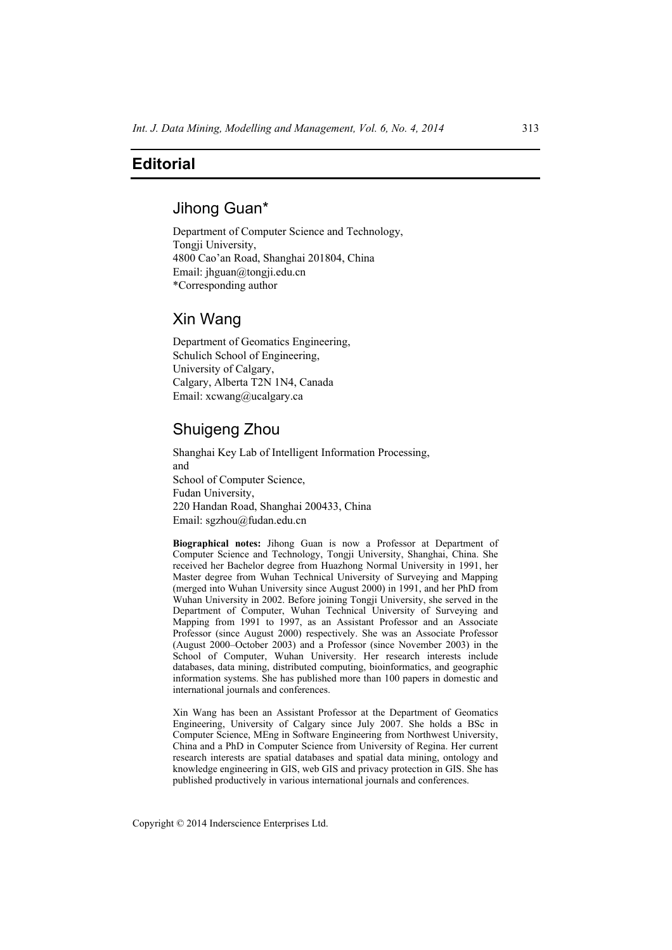## **Editorial**

## Jihong Guan\*

Department of Computer Science and Technology, Tongji University, 4800 Cao'an Road, Shanghai 201804, China Email: jhguan@tongji.edu.cn \*Corresponding author

# Xin Wang

Department of Geomatics Engineering, Schulich School of Engineering, University of Calgary, Calgary, Alberta T2N 1N4, Canada Email: xcwang@ucalgary.ca

## Shuigeng Zhou

Shanghai Key Lab of Intelligent Information Processing, and School of Computer Science, Fudan University, 220 Handan Road, Shanghai 200433, China Email: sgzhou@fudan.edu.cn

**Biographical notes:** Jihong Guan is now a Professor at Department of Computer Science and Technology, Tongji University, Shanghai, China. She received her Bachelor degree from Huazhong Normal University in 1991, her Master degree from Wuhan Technical University of Surveying and Mapping (merged into Wuhan University since August 2000) in 1991, and her PhD from Wuhan University in 2002. Before joining Tongji University, she served in the Department of Computer, Wuhan Technical University of Surveying and Mapping from 1991 to 1997, as an Assistant Professor and an Associate Professor (since August 2000) respectively. She was an Associate Professor (August 2000–October 2003) and a Professor (since November 2003) in the School of Computer, Wuhan University. Her research interests include databases, data mining, distributed computing, bioinformatics, and geographic information systems. She has published more than 100 papers in domestic and international journals and conferences.

Xin Wang has been an Assistant Professor at the Department of Geomatics Engineering, University of Calgary since July 2007. She holds a BSc in Computer Science, MEng in Software Engineering from Northwest University, China and a PhD in Computer Science from University of Regina. Her current research interests are spatial databases and spatial data mining, ontology and knowledge engineering in GIS, web GIS and privacy protection in GIS. She has published productively in various international journals and conferences.